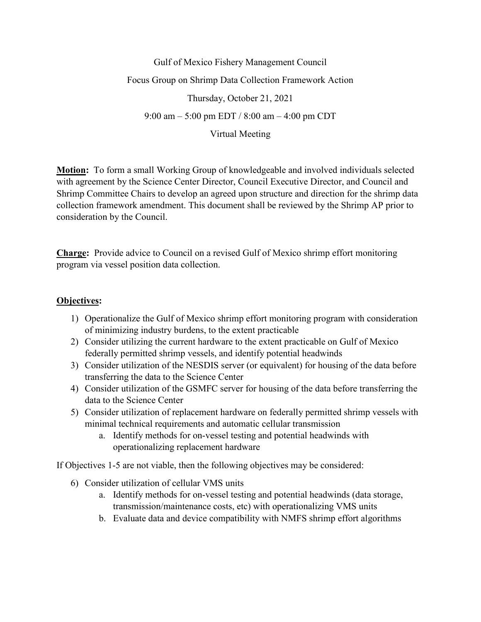Gulf of Mexico Fishery Management Council Focus Group on Shrimp Data Collection Framework Action Thursday, October 21, 2021 9:00 am – 5:00 pm EDT / 8:00 am – 4:00 pm CDT Virtual Meeting

**Motion:** To form a small Working Group of knowledgeable and involved individuals selected with agreement by the Science Center Director, Council Executive Director, and Council and Shrimp Committee Chairs to develop an agreed upon structure and direction for the shrimp data collection framework amendment. This document shall be reviewed by the Shrimp AP prior to consideration by the Council.

**Charge:** Provide advice to Council on a revised Gulf of Mexico shrimp effort monitoring program via vessel position data collection.

## **Objectives:**

- 1) Operationalize the Gulf of Mexico shrimp effort monitoring program with consideration of minimizing industry burdens, to the extent practicable
- 2) Consider utilizing the current hardware to the extent practicable on Gulf of Mexico federally permitted shrimp vessels, and identify potential headwinds
- 3) Consider utilization of the NESDIS server (or equivalent) for housing of the data before transferring the data to the Science Center
- 4) Consider utilization of the GSMFC server for housing of the data before transferring the data to the Science Center
- 5) Consider utilization of replacement hardware on federally permitted shrimp vessels with minimal technical requirements and automatic cellular transmission
	- a. Identify methods for on-vessel testing and potential headwinds with operationalizing replacement hardware

If Objectives 1-5 are not viable, then the following objectives may be considered:

- 6) Consider utilization of cellular VMS units
	- a. Identify methods for on-vessel testing and potential headwinds (data storage, transmission/maintenance costs, etc) with operationalizing VMS units
	- b. Evaluate data and device compatibility with NMFS shrimp effort algorithms